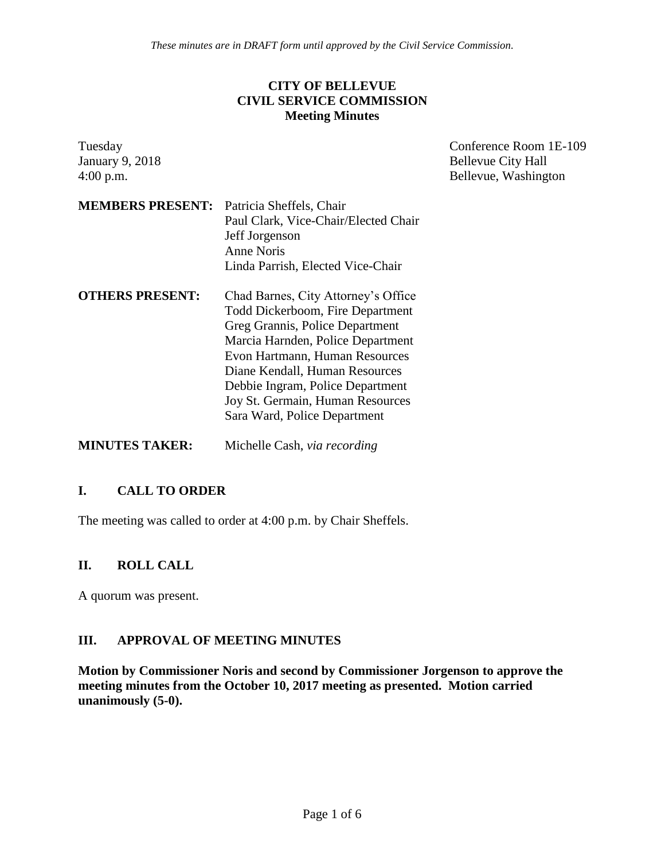*These minutes are in DRAFT form until approved by the Civil Service Commission.*

#### **CITY OF BELLEVUE CIVIL SERVICE COMMISSION Meeting Minutes**

| Tuesday                                          |                                                                                                                                                                                                                                                                                                                             | Conference Room 1E-109    |
|--------------------------------------------------|-----------------------------------------------------------------------------------------------------------------------------------------------------------------------------------------------------------------------------------------------------------------------------------------------------------------------------|---------------------------|
| <b>January 9, 2018</b>                           |                                                                                                                                                                                                                                                                                                                             | <b>Bellevue City Hall</b> |
| $4:00$ p.m.                                      |                                                                                                                                                                                                                                                                                                                             | Bellevue, Washington      |
| <b>MEMBERS PRESENT:</b> Patricia Sheffels, Chair | Paul Clark, Vice-Chair/Elected Chair<br>Jeff Jorgenson<br><b>Anne Noris</b><br>Linda Parrish, Elected Vice-Chair                                                                                                                                                                                                            |                           |
| <b>OTHERS PRESENT:</b>                           | Chad Barnes, City Attorney's Office<br>Todd Dickerboom, Fire Department<br>Greg Grannis, Police Department<br>Marcia Harnden, Police Department<br>Evon Hartmann, Human Resources<br>Diane Kendall, Human Resources<br>Debbie Ingram, Police Department<br>Joy St. Germain, Human Resources<br>Sara Ward, Police Department |                           |
| <b>MINUTES TAKER:</b>                            | Michelle Cash, via recording                                                                                                                                                                                                                                                                                                |                           |

### **I. CALL TO ORDER**

The meeting was called to order at 4:00 p.m. by Chair Sheffels.

#### **II. ROLL CALL**

A quorum was present.

#### **III. APPROVAL OF MEETING MINUTES**

**Motion by Commissioner Noris and second by Commissioner Jorgenson to approve the meeting minutes from the October 10, 2017 meeting as presented. Motion carried unanimously (5-0).**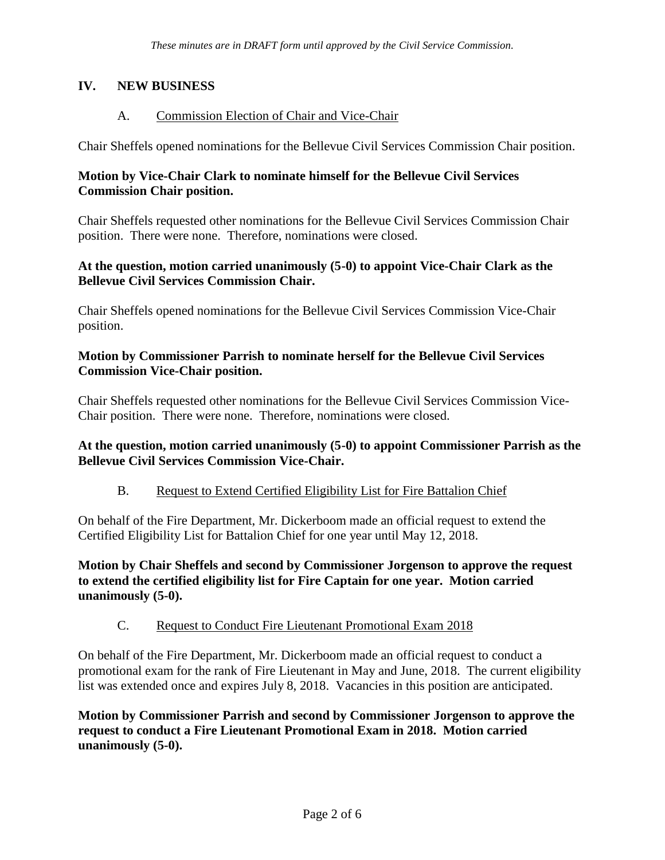## **IV. NEW BUSINESS**

### A. Commission Election of Chair and Vice-Chair

Chair Sheffels opened nominations for the Bellevue Civil Services Commission Chair position.

## **Motion by Vice-Chair Clark to nominate himself for the Bellevue Civil Services Commission Chair position.**

Chair Sheffels requested other nominations for the Bellevue Civil Services Commission Chair position. There were none. Therefore, nominations were closed.

## **At the question, motion carried unanimously (5-0) to appoint Vice-Chair Clark as the Bellevue Civil Services Commission Chair.**

Chair Sheffels opened nominations for the Bellevue Civil Services Commission Vice-Chair position.

### **Motion by Commissioner Parrish to nominate herself for the Bellevue Civil Services Commission Vice-Chair position.**

Chair Sheffels requested other nominations for the Bellevue Civil Services Commission Vice-Chair position. There were none. Therefore, nominations were closed.

### **At the question, motion carried unanimously (5-0) to appoint Commissioner Parrish as the Bellevue Civil Services Commission Vice-Chair.**

### B. Request to Extend Certified Eligibility List for Fire Battalion Chief

On behalf of the Fire Department, Mr. Dickerboom made an official request to extend the Certified Eligibility List for Battalion Chief for one year until May 12, 2018.

**Motion by Chair Sheffels and second by Commissioner Jorgenson to approve the request to extend the certified eligibility list for Fire Captain for one year. Motion carried unanimously (5-0).**

### C. Request to Conduct Fire Lieutenant Promotional Exam 2018

On behalf of the Fire Department, Mr. Dickerboom made an official request to conduct a promotional exam for the rank of Fire Lieutenant in May and June, 2018. The current eligibility list was extended once and expires July 8, 2018. Vacancies in this position are anticipated.

**Motion by Commissioner Parrish and second by Commissioner Jorgenson to approve the request to conduct a Fire Lieutenant Promotional Exam in 2018. Motion carried unanimously (5-0).**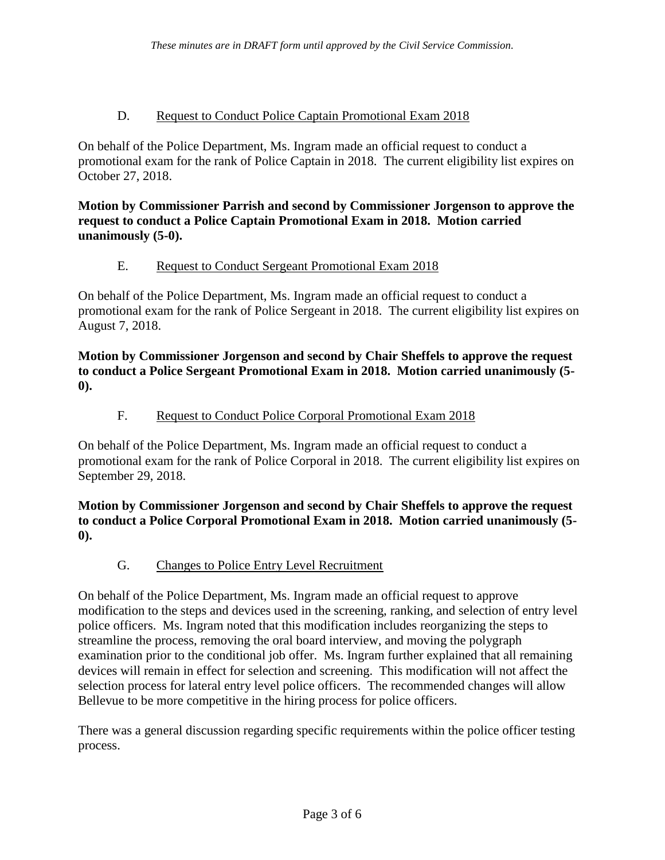### D. Request to Conduct Police Captain Promotional Exam 2018

On behalf of the Police Department, Ms. Ingram made an official request to conduct a promotional exam for the rank of Police Captain in 2018. The current eligibility list expires on October 27, 2018.

**Motion by Commissioner Parrish and second by Commissioner Jorgenson to approve the request to conduct a Police Captain Promotional Exam in 2018. Motion carried unanimously (5-0).**

# E. Request to Conduct Sergeant Promotional Exam 2018

On behalf of the Police Department, Ms. Ingram made an official request to conduct a promotional exam for the rank of Police Sergeant in 2018. The current eligibility list expires on August 7, 2018.

**Motion by Commissioner Jorgenson and second by Chair Sheffels to approve the request to conduct a Police Sergeant Promotional Exam in 2018. Motion carried unanimously (5- 0).**

# F. Request to Conduct Police Corporal Promotional Exam 2018

On behalf of the Police Department, Ms. Ingram made an official request to conduct a promotional exam for the rank of Police Corporal in 2018. The current eligibility list expires on September 29, 2018.

**Motion by Commissioner Jorgenson and second by Chair Sheffels to approve the request to conduct a Police Corporal Promotional Exam in 2018. Motion carried unanimously (5- 0).**

G. Changes to Police Entry Level Recruitment

On behalf of the Police Department, Ms. Ingram made an official request to approve modification to the steps and devices used in the screening, ranking, and selection of entry level police officers. Ms. Ingram noted that this modification includes reorganizing the steps to streamline the process, removing the oral board interview, and moving the polygraph examination prior to the conditional job offer. Ms. Ingram further explained that all remaining devices will remain in effect for selection and screening. This modification will not affect the selection process for lateral entry level police officers. The recommended changes will allow Bellevue to be more competitive in the hiring process for police officers.

There was a general discussion regarding specific requirements within the police officer testing process.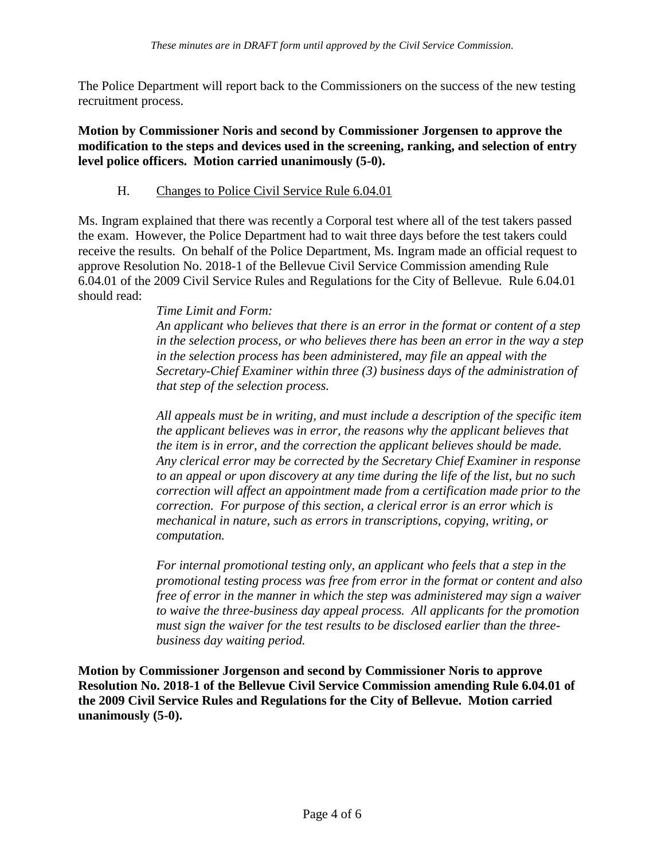The Police Department will report back to the Commissioners on the success of the new testing recruitment process.

**Motion by Commissioner Noris and second by Commissioner Jorgensen to approve the modification to the steps and devices used in the screening, ranking, and selection of entry level police officers. Motion carried unanimously (5-0).**

H. Changes to Police Civil Service Rule 6.04.01

Ms. Ingram explained that there was recently a Corporal test where all of the test takers passed the exam. However, the Police Department had to wait three days before the test takers could receive the results. On behalf of the Police Department, Ms. Ingram made an official request to approve Resolution No. 2018-1 of the Bellevue Civil Service Commission amending Rule 6.04.01 of the 2009 Civil Service Rules and Regulations for the City of Bellevue. Rule 6.04.01 should read:

> *Time Limit and Form: An applicant who believes that there is an error in the format or content of a step in the selection process, or who believes there has been an error in the way a step in the selection process has been administered, may file an appeal with the Secretary-Chief Examiner within three (3) business days of the administration of that step of the selection process.*

> *All appeals must be in writing, and must include a description of the specific item the applicant believes was in error, the reasons why the applicant believes that the item is in error, and the correction the applicant believes should be made. Any clerical error may be corrected by the Secretary Chief Examiner in response to an appeal or upon discovery at any time during the life of the list, but no such correction will affect an appointment made from a certification made prior to the correction. For purpose of this section, a clerical error is an error which is mechanical in nature, such as errors in transcriptions, copying, writing, or computation.*

> *For internal promotional testing only, an applicant who feels that a step in the promotional testing process was free from error in the format or content and also free of error in the manner in which the step was administered may sign a waiver to waive the three-business day appeal process. All applicants for the promotion must sign the waiver for the test results to be disclosed earlier than the threebusiness day waiting period.*

**Motion by Commissioner Jorgenson and second by Commissioner Noris to approve Resolution No. 2018-1 of the Bellevue Civil Service Commission amending Rule 6.04.01 of the 2009 Civil Service Rules and Regulations for the City of Bellevue. Motion carried unanimously (5-0).**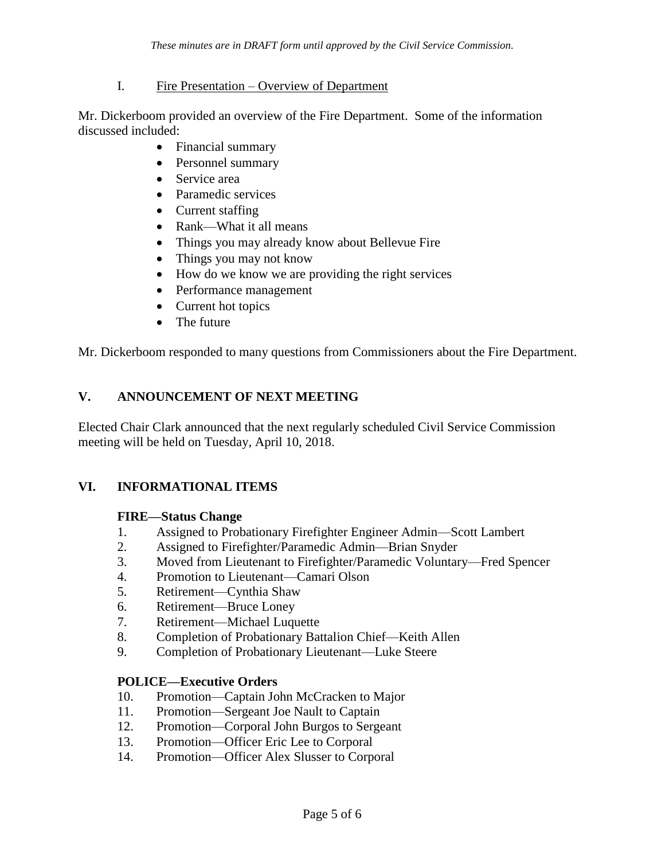#### I. Fire Presentation – Overview of Department

Mr. Dickerboom provided an overview of the Fire Department. Some of the information discussed included:

- Financial summary
- Personnel summary
- Service area
- Paramedic services
- Current staffing
- Rank—What it all means
- Things you may already know about Bellevue Fire
- Things you may not know
- How do we know we are providing the right services
- Performance management
- Current hot topics
- The future

Mr. Dickerboom responded to many questions from Commissioners about the Fire Department.

# **V. ANNOUNCEMENT OF NEXT MEETING**

Elected Chair Clark announced that the next regularly scheduled Civil Service Commission meeting will be held on Tuesday, April 10, 2018.

# **VI. INFORMATIONAL ITEMS**

### **FIRE—Status Change**

- 1. Assigned to Probationary Firefighter Engineer Admin—Scott Lambert
- 2. Assigned to Firefighter/Paramedic Admin—Brian Snyder
- 3. Moved from Lieutenant to Firefighter/Paramedic Voluntary—Fred Spencer
- 4. Promotion to Lieutenant—Camari Olson
- 5. Retirement—Cynthia Shaw
- 6. Retirement—Bruce Loney
- 7. Retirement—Michael Luquette
- 8. Completion of Probationary Battalion Chief—Keith Allen
- 9. Completion of Probationary Lieutenant—Luke Steere

### **POLICE—Executive Orders**

- 10. Promotion—Captain John McCracken to Major
- 11. Promotion—Sergeant Joe Nault to Captain
- 12. Promotion—Corporal John Burgos to Sergeant
- 13. Promotion—Officer Eric Lee to Corporal
- 14. Promotion—Officer Alex Slusser to Corporal